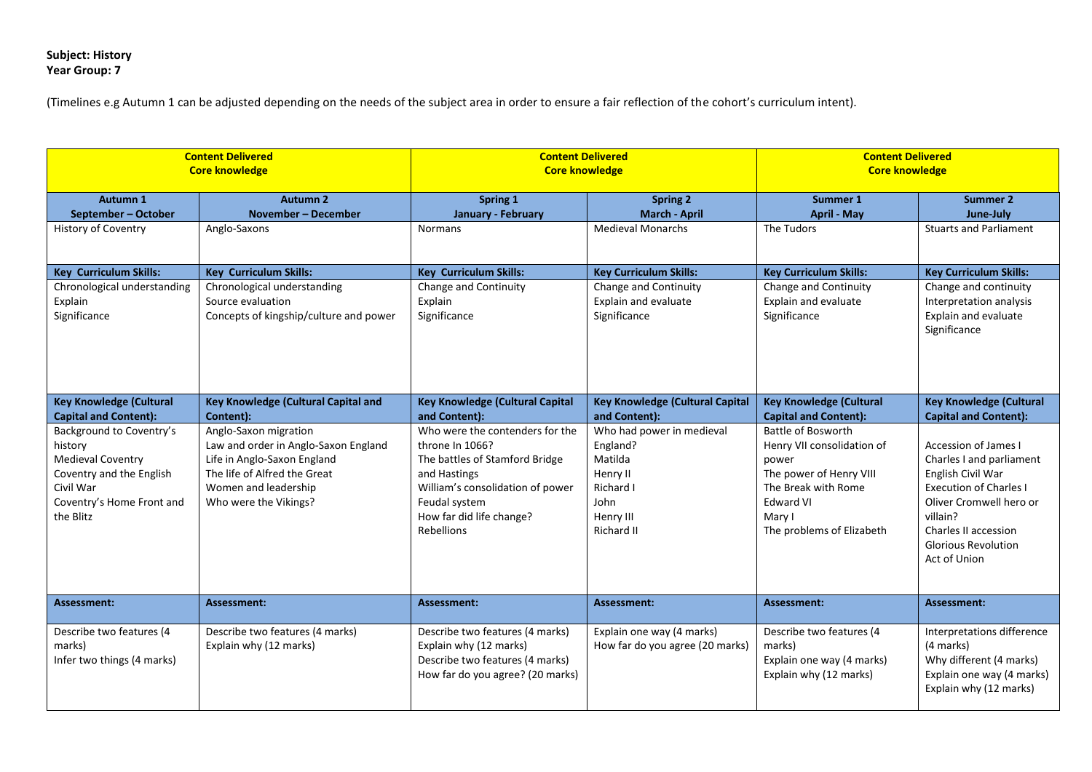## **Subject: History Year Group: 7**

| <b>Content Delivered</b><br><b>Core knowledge</b>                                                                                                  |                                                                                                                                                                               | <b>Content Delivered</b><br><b>Core knowledge</b>                                                                                                                                                   |                                                                                                              | <b>Content Delivered</b><br><b>Core knowledge</b>                                                                                                                      |                                                                                                                                                                                                                                   |
|----------------------------------------------------------------------------------------------------------------------------------------------------|-------------------------------------------------------------------------------------------------------------------------------------------------------------------------------|-----------------------------------------------------------------------------------------------------------------------------------------------------------------------------------------------------|--------------------------------------------------------------------------------------------------------------|------------------------------------------------------------------------------------------------------------------------------------------------------------------------|-----------------------------------------------------------------------------------------------------------------------------------------------------------------------------------------------------------------------------------|
| Autumn 1<br>September - October                                                                                                                    | <b>Autumn 2</b><br>November - December                                                                                                                                        | Spring 1<br>January - February                                                                                                                                                                      | <b>Spring 2</b><br><b>March - April</b>                                                                      | Summer 1<br><b>April - May</b>                                                                                                                                         | Summer 2<br>June-July                                                                                                                                                                                                             |
| <b>History of Coventry</b>                                                                                                                         | Anglo-Saxons                                                                                                                                                                  | <b>Normans</b>                                                                                                                                                                                      | <b>Medieval Monarchs</b>                                                                                     | The Tudors                                                                                                                                                             | <b>Stuarts and Parliament</b>                                                                                                                                                                                                     |
| <b>Key Curriculum Skills:</b>                                                                                                                      | <b>Key Curriculum Skills:</b>                                                                                                                                                 | <b>Key Curriculum Skills:</b>                                                                                                                                                                       | <b>Key Curriculum Skills:</b>                                                                                | <b>Key Curriculum Skills:</b>                                                                                                                                          | <b>Key Curriculum Skills:</b>                                                                                                                                                                                                     |
| Chronological understanding<br>Explain<br>Significance                                                                                             | Chronological understanding<br>Source evaluation<br>Concepts of kingship/culture and power                                                                                    | Change and Continuity<br>Explain<br>Significance                                                                                                                                                    | Change and Continuity<br>Explain and evaluate<br>Significance                                                | Change and Continuity<br>Explain and evaluate<br>Significance                                                                                                          | Change and continuity<br>Interpretation analysis<br>Explain and evaluate<br>Significance                                                                                                                                          |
| <b>Key Knowledge (Cultural</b><br><b>Capital and Content):</b>                                                                                     | Key Knowledge (Cultural Capital and<br>Content):                                                                                                                              | <b>Key Knowledge (Cultural Capital</b><br>and Content):                                                                                                                                             | <b>Key Knowledge (Cultural Capital</b><br>and Content):                                                      | <b>Key Knowledge (Cultural</b><br><b>Capital and Content):</b>                                                                                                         | <b>Key Knowledge (Cultural</b><br><b>Capital and Content):</b>                                                                                                                                                                    |
| Background to Coventry's<br>history<br><b>Medieval Coventry</b><br>Coventry and the English<br>Civil War<br>Coventry's Home Front and<br>the Blitz | Anglo-Saxon migration<br>Law and order in Anglo-Saxon England<br>Life in Anglo-Saxon England<br>The life of Alfred the Great<br>Women and leadership<br>Who were the Vikings? | Who were the contenders for the<br>throne In 1066?<br>The battles of Stamford Bridge<br>and Hastings<br>William's consolidation of power<br>Feudal system<br>How far did life change?<br>Rebellions | Who had power in medieval<br>England?<br>Matilda<br>Henry II<br>Richard I<br>John<br>Henry III<br>Richard II | Battle of Bosworth<br>Henry VII consolidation of<br>power<br>The power of Henry VIII<br>The Break with Rome<br><b>Edward VI</b><br>Mary I<br>The problems of Elizabeth | <b>Accession of James I</b><br>Charles I and parliament<br>English Civil War<br><b>Execution of Charles I</b><br>Oliver Cromwell hero or<br>villain?<br><b>Charles II accession</b><br><b>Glorious Revolution</b><br>Act of Union |
| Assessment:                                                                                                                                        | Assessment:                                                                                                                                                                   | Assessment:                                                                                                                                                                                         | Assessment:                                                                                                  | Assessment:                                                                                                                                                            | Assessment:                                                                                                                                                                                                                       |
| Describe two features (4<br>marks)<br>Infer two things (4 marks)                                                                                   | Describe two features (4 marks)<br>Explain why (12 marks)                                                                                                                     | Describe two features (4 marks)<br>Explain why (12 marks)<br>Describe two features (4 marks)<br>How far do you agree? (20 marks)                                                                    | Explain one way (4 marks)<br>How far do you agree (20 marks)                                                 | Describe two features (4<br>marks)<br>Explain one way (4 marks)<br>Explain why (12 marks)                                                                              | Interpretations difference<br>(4 marks)<br>Why different (4 marks)<br>Explain one way (4 marks)<br>Explain why (12 marks)                                                                                                         |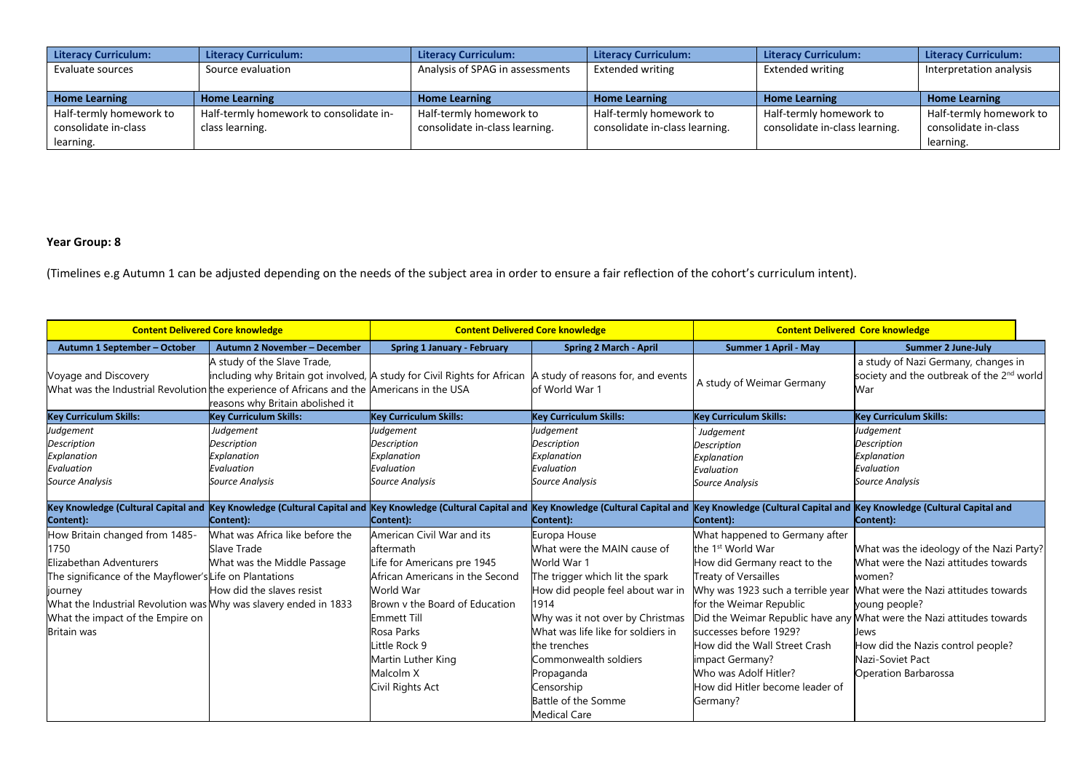| <b>Literacy Curriculum:</b> | Literacy Curriculum:                    | <b>Literacy Curriculum:</b>     | <b>Literacy Curriculum:</b>    | Literacy Curriculum:           | <b>Literacy Curriculum:</b> |
|-----------------------------|-----------------------------------------|---------------------------------|--------------------------------|--------------------------------|-----------------------------|
| Evaluate sources            | Source evaluation                       | Analysis of SPAG in assessments | Extended writing               | <b>Extended writing</b>        | Interpretation analysis     |
|                             |                                         |                                 |                                |                                |                             |
| <b>Home Learning</b>        | <b>Home Learning</b>                    | <b>Home Learning</b>            | <b>Home Learning</b>           | <b>Home Learning</b>           | <b>Home Learning</b>        |
| Half-termly homework to     | Half-termly homework to consolidate in- | Half-termly homework to         | Half-termly homework to        | Half-termly homework to        | Half-termly homework to     |
| consolidate in-class        | class learning.                         | consolidate in-class learning.  | consolidate in-class learning. | consolidate in-class learning. | consolidate in-class        |
| learning.                   |                                         |                                 |                                |                                | learning.                   |

## **Year Group: 8**

| <b>Content Delivered Core knowledge</b>                                                                                                                                                                                                                               |                                                                                                                                                                                 | <b>Content Delivered Core knowledge</b>                                                                                                                                                                                                                              |                                                                                                                                                                                                                                                                                                                                        | <b>Content Delivered Core knowledge</b>                                                                                                                                                                                                                                                                  |                                                                                                                                                                                                                                                                                                                                                         |
|-----------------------------------------------------------------------------------------------------------------------------------------------------------------------------------------------------------------------------------------------------------------------|---------------------------------------------------------------------------------------------------------------------------------------------------------------------------------|----------------------------------------------------------------------------------------------------------------------------------------------------------------------------------------------------------------------------------------------------------------------|----------------------------------------------------------------------------------------------------------------------------------------------------------------------------------------------------------------------------------------------------------------------------------------------------------------------------------------|----------------------------------------------------------------------------------------------------------------------------------------------------------------------------------------------------------------------------------------------------------------------------------------------------------|---------------------------------------------------------------------------------------------------------------------------------------------------------------------------------------------------------------------------------------------------------------------------------------------------------------------------------------------------------|
| Autumn 1 September - October                                                                                                                                                                                                                                          | Autumn 2 November - December                                                                                                                                                    | <b>Spring 1 January - February</b>                                                                                                                                                                                                                                   | <b>Spring 2 March - April</b>                                                                                                                                                                                                                                                                                                          | <b>Summer 1 April - May</b>                                                                                                                                                                                                                                                                              | <b>Summer 2 June-July</b>                                                                                                                                                                                                                                                                                                                               |
| Voyage and Discovery<br>What was the Industrial Revolution the experience of Africans and the Americans in the USA                                                                                                                                                    | A study of the Slave Trade,<br>including why Britain got involved, A study for Civil Rights for African  A study of reasons for, and events<br>reasons why Britain abolished it |                                                                                                                                                                                                                                                                      | of World War 1                                                                                                                                                                                                                                                                                                                         | A study of Weimar Germany                                                                                                                                                                                                                                                                                | a study of Nazi Germany, changes in<br>society and the outbreak of the 2 <sup>nd</sup> world<br>War                                                                                                                                                                                                                                                     |
| <b>Key Curriculum Skills:</b>                                                                                                                                                                                                                                         | Key Curriculum Skills:                                                                                                                                                          | <b>Key Curriculum Skills:</b>                                                                                                                                                                                                                                        | <b>Key Curriculum Skills:</b>                                                                                                                                                                                                                                                                                                          | <b>Key Curriculum Skills:</b>                                                                                                                                                                                                                                                                            | <b>Key Curriculum Skills:</b>                                                                                                                                                                                                                                                                                                                           |
| Judgement<br><b>Description</b><br>Explanation<br>Evaluation<br><b>Source Analysis</b>                                                                                                                                                                                | Judgement<br><b>Description</b><br>Explanation<br>Evaluation<br>Source Analysis                                                                                                 | Judgement<br><b>Description</b><br>Explanation<br>Evaluation<br><b>Source Analysis</b>                                                                                                                                                                               | Judgement<br><b>Description</b><br>Explanation<br>Evaluation<br><b>Source Analysis</b>                                                                                                                                                                                                                                                 | Judgement<br><b>Description</b><br>Explanation<br>Evaluation<br><b>Source Analysis</b>                                                                                                                                                                                                                   | Judgement<br><b>Description</b><br>Explanation<br>Evaluation<br><b>Source Analysis</b>                                                                                                                                                                                                                                                                  |
| Key Knowledge (Cultural Capital and Key Knowledge (Cultural Capital and Key Knowledge (Cultural Capital and Key Knowledge (Cultural Capital and Key Knowledge (Cultural Capital and Key Knowledge (Cultural Capital and<br>Content):                                  | Content):                                                                                                                                                                       | Content):                                                                                                                                                                                                                                                            | Content):                                                                                                                                                                                                                                                                                                                              | Content):                                                                                                                                                                                                                                                                                                | Content):                                                                                                                                                                                                                                                                                                                                               |
| How Britain changed from 1485-<br>1750<br>Elizabethan Adventurers<br>The significance of the Mayflower's Life on Plantations<br>journey<br>What the Industrial Revolution was Why was slavery ended in 1833<br>What the impact of the Empire on<br><b>Britain</b> was | What was Africa like before the<br>Slave Trade<br>What was the Middle Passage<br>How did the slaves resist                                                                      | American Civil War and its<br>aftermath<br>Life for Americans pre 1945<br>African Americans in the Second<br>World War<br>Brown y the Board of Education<br><b>Emmett Till</b><br>Rosa Parks<br>Little Rock 9<br>Martin Luther King<br>Malcolm X<br>Civil Rights Act | Europa House<br>What were the MAIN cause of<br>World War 1<br>The trigger which lit the spark<br>How did people feel about war in<br>1914<br>Why was it not over by Christmas<br>What was life like for soldiers in<br>the trenches<br>Commonwealth soldiers<br>Propaganda<br>Censorship<br>Battle of the Somme<br><b>Medical Care</b> | What happened to Germany after<br>the 1 <sup>st</sup> World War<br>How did Germany react to the<br>Treaty of Versailles<br>for the Weimar Republic<br>successes before 1929?<br>How did the Wall Street Crash<br>impact Germany?<br>Who was Adolf Hitler?<br>How did Hitler become leader of<br>Germany? | What was the ideology of the Nazi Party?<br>What were the Nazi attitudes towards<br>women?<br>Why was 1923 such a terrible year Mhat were the Nazi attitudes towards<br>young people?<br>Did the Weimar Republic have any What were the Nazi attitudes towards<br>Jews<br>How did the Nazis control people?<br>Nazi-Soviet Pact<br>Operation Barbarossa |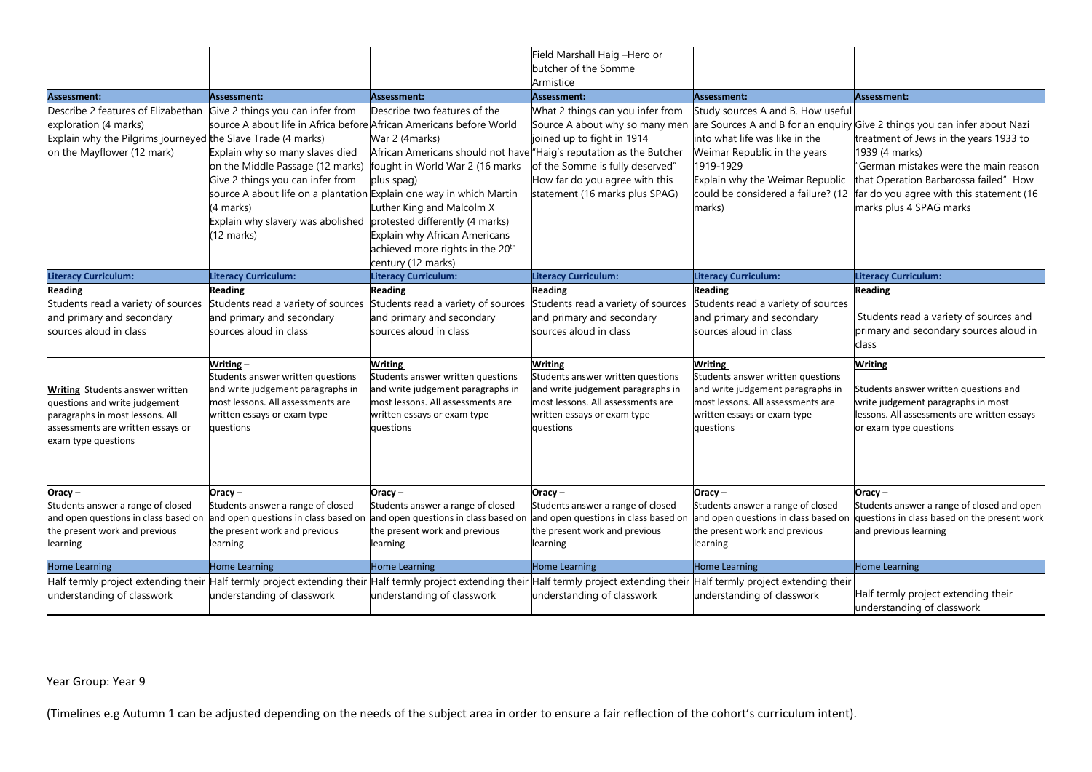|                                                                                                                                                                                                                                                                                                  |                                                                                                                                                                                                                                                                                                                                                            |                                                                                                                                                                                                                                                                                                     | Field Marshall Haig -Hero or<br>butcher of the Somme                                                                                                                                                                                                                                                |                                                                                                                                                                                                                                                                                                    |                                                                                                                                                                                                                                                                                                               |
|--------------------------------------------------------------------------------------------------------------------------------------------------------------------------------------------------------------------------------------------------------------------------------------------------|------------------------------------------------------------------------------------------------------------------------------------------------------------------------------------------------------------------------------------------------------------------------------------------------------------------------------------------------------------|-----------------------------------------------------------------------------------------------------------------------------------------------------------------------------------------------------------------------------------------------------------------------------------------------------|-----------------------------------------------------------------------------------------------------------------------------------------------------------------------------------------------------------------------------------------------------------------------------------------------------|----------------------------------------------------------------------------------------------------------------------------------------------------------------------------------------------------------------------------------------------------------------------------------------------------|---------------------------------------------------------------------------------------------------------------------------------------------------------------------------------------------------------------------------------------------------------------------------------------------------------------|
|                                                                                                                                                                                                                                                                                                  |                                                                                                                                                                                                                                                                                                                                                            |                                                                                                                                                                                                                                                                                                     | Armistice                                                                                                                                                                                                                                                                                           |                                                                                                                                                                                                                                                                                                    |                                                                                                                                                                                                                                                                                                               |
| <b>Assessment:</b><br>Describe 2 features of Elizabethan<br>exploration (4 marks)<br>Explain why the Pilgrims journeyed the Slave Trade (4 marks)<br>on the Mayflower (12 mark)                                                                                                                  | Assessment:<br>Give 2 things you can infer from<br>source A about life in Africa before African Americans before World<br>Explain why so many slaves died<br>on the Middle Passage (12 marks)<br>Give 2 things you can infer from<br>source A about life on a plantation Explain one way in which Martin<br>(4 marks)<br>Explain why slavery was abolished | Assessment:<br>Describe two features of the<br>War 2 (4marks)<br>African Americans should not have "Haig's reputation as the Butcher<br>fought in World War 2 (16 marks<br>plus spag)<br>Luther King and Malcolm X<br>protested differently (4 marks)                                               | <b>Assessment:</b><br>What 2 things can you infer from<br>Source A about why so many men<br>joined up to fight in 1914<br>of the Somme is fully deserved"<br>How far do you agree with this<br>statement (16 marks plus SPAG)                                                                       | Assessment:<br>Study sources A and B. How useful<br>into what life was like in the<br>Weimar Republic in the years<br>1919-1929<br>Explain why the Weimar Republic<br>could be considered a failure? (12<br>marks)                                                                                 | Assessment:<br>are Sources A and B for an enquiry Give 2 things you can infer about Nazi<br>treatment of Jews in the years 1933 to<br>1939 (4 marks)<br>"German mistakes were the main reason<br>that Operation Barbarossa failed" How<br>far do you agree with this statement (16<br>marks plus 4 SPAG marks |
|                                                                                                                                                                                                                                                                                                  | (12 marks)                                                                                                                                                                                                                                                                                                                                                 | Explain why African Americans<br>achieved more rights in the 20 <sup>th</sup><br>century (12 marks)                                                                                                                                                                                                 |                                                                                                                                                                                                                                                                                                     |                                                                                                                                                                                                                                                                                                    |                                                                                                                                                                                                                                                                                                               |
| Literacy Curriculum:                                                                                                                                                                                                                                                                             | <b>Literacy Curriculum:</b>                                                                                                                                                                                                                                                                                                                                | <b>Literacy Curriculum:</b>                                                                                                                                                                                                                                                                         | <b>Literacy Curriculum:</b>                                                                                                                                                                                                                                                                         | <b>Literacy Curriculum:</b>                                                                                                                                                                                                                                                                        | <b>Literacy Curriculum:</b>                                                                                                                                                                                                                                                                                   |
| <b>Reading</b><br>Students read a variety of sources<br>and primary and secondary<br>sources aloud in class<br><b>Writing</b> Students answer written<br>questions and write judgement<br>paragraphs in most lessons. All<br>assessments are written essays or<br>exam type questions<br>Oracy – | <b>Reading</b><br>Students read a variety of sources<br>and primary and secondary<br>sources aloud in class<br>Writing –<br>Students answer written questions<br>and write judgement paragraphs in<br>most lessons. All assessments are<br>written essays or exam type<br>questions<br>Oracy –                                                             | <b>Reading</b><br>Students read a variety of sources<br>and primary and secondary<br>sources aloud in class<br><b>Writing</b><br>Students answer written questions<br>and write judgement paragraphs in<br>most lessons. All assessments are<br>written essays or exam type<br>questions<br>Oracy – | <b>Reading</b><br>Students read a variety of sources<br>and primary and secondary<br>sources aloud in class<br><b>Writing</b><br>Students answer written questions<br>and write judgement paragraphs in<br>most lessons. All assessments are<br>written essays or exam type<br>questions<br>Oracy – | <b>Reading</b><br>Students read a variety of sources<br>and primary and secondary<br>sources aloud in class<br><b>Writing</b><br>Students answer written questions<br>and write judgement paragraphs in<br>most lessons. All assessments are<br>written essays or exam type<br>questions<br>Oracy- | <b>Reading</b><br>Students read a variety of sources and<br>primary and secondary sources aloud in<br>class<br><b>Writing</b><br>Students answer written questions and<br>write judgement paragraphs in most<br>lessons. All assessments are written essays<br>or exam type questions<br>Oracy-               |
| Students answer a range of closed<br>and open questions in class based on<br>the present work and previous<br>learning                                                                                                                                                                           | Students answer a range of closed<br>and open questions in class based on<br>the present work and previous<br>learning                                                                                                                                                                                                                                     | Students answer a range of closed<br>and open questions in class based on<br>the present work and previous<br>learning                                                                                                                                                                              | Students answer a range of closed<br>and open questions in class based on<br>the present work and previous<br>learning                                                                                                                                                                              | Students answer a range of closed<br>and open questions in class based on<br>the present work and previous<br>earning                                                                                                                                                                              | Students answer a range of closed and open<br>questions in class based on the present work<br>and previous learning                                                                                                                                                                                           |
| <b>Home Learning</b>                                                                                                                                                                                                                                                                             | <b>Home Learning</b>                                                                                                                                                                                                                                                                                                                                       | <b>Home Learning</b>                                                                                                                                                                                                                                                                                | <b>Home Learning</b>                                                                                                                                                                                                                                                                                | Home Learning                                                                                                                                                                                                                                                                                      | <b>Home Learning</b>                                                                                                                                                                                                                                                                                          |
| Half termly project extending their<br>understanding of classwork                                                                                                                                                                                                                                | Half termly project extending their<br>understanding of classwork                                                                                                                                                                                                                                                                                          | Half termly project extending their Half termly project extending their<br>understanding of classwork                                                                                                                                                                                               | understanding of classwork                                                                                                                                                                                                                                                                          | Half termly project extending their<br>understanding of classwork                                                                                                                                                                                                                                  | Half termly project extending their<br>understanding of classwork                                                                                                                                                                                                                                             |

## Year Group: Year 9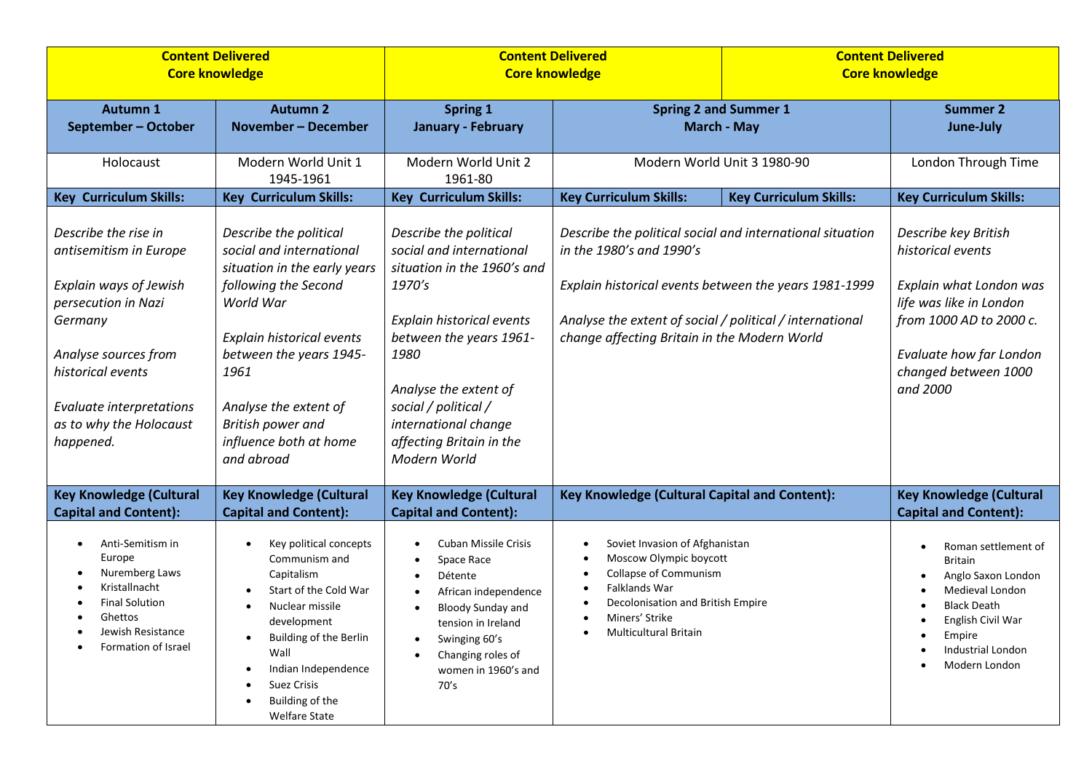|                                                                                                                                                                                                                                    | <b>Content Delivered</b><br><b>Core knowledge</b>                                                                                                                                                                                                                             | <b>Core knowledge</b>                                                                                                                                                                                                                                                            | <b>Content Delivered</b>                                                                                                                                                                                                                                   |                               | <b>Content Delivered</b><br><b>Core knowledge</b>                                                                                                                                                                     |  |
|------------------------------------------------------------------------------------------------------------------------------------------------------------------------------------------------------------------------------------|-------------------------------------------------------------------------------------------------------------------------------------------------------------------------------------------------------------------------------------------------------------------------------|----------------------------------------------------------------------------------------------------------------------------------------------------------------------------------------------------------------------------------------------------------------------------------|------------------------------------------------------------------------------------------------------------------------------------------------------------------------------------------------------------------------------------------------------------|-------------------------------|-----------------------------------------------------------------------------------------------------------------------------------------------------------------------------------------------------------------------|--|
| <b>Autumn 1</b><br>September - October                                                                                                                                                                                             | <b>Autumn 2</b><br><b>November - December</b>                                                                                                                                                                                                                                 | <b>Spring 1</b><br><b>January - February</b>                                                                                                                                                                                                                                     | <b>Spring 2 and Summer 1</b><br><b>March - May</b>                                                                                                                                                                                                         |                               | <b>Summer 2</b><br>June-July                                                                                                                                                                                          |  |
| Holocaust                                                                                                                                                                                                                          | Modern World Unit 1<br>1945-1961                                                                                                                                                                                                                                              | Modern World Unit 2<br>1961-80                                                                                                                                                                                                                                                   |                                                                                                                                                                                                                                                            | Modern World Unit 3 1980-90   | London Through Time                                                                                                                                                                                                   |  |
| <b>Key Curriculum Skills:</b>                                                                                                                                                                                                      | <b>Key Curriculum Skills:</b>                                                                                                                                                                                                                                                 | <b>Key Curriculum Skills:</b>                                                                                                                                                                                                                                                    | <b>Key Curriculum Skills:</b>                                                                                                                                                                                                                              | <b>Key Curriculum Skills:</b> | <b>Key Curriculum Skills:</b>                                                                                                                                                                                         |  |
| Describe the rise in<br>antisemitism in Europe<br>Explain ways of Jewish<br>persecution in Nazi<br>Germany<br>Analyse sources from<br>historical events<br><b>Evaluate interpretations</b><br>as to why the Holocaust<br>happened. | Describe the political<br>social and international<br>situation in the early years<br>following the Second<br>World War<br>Explain historical events<br>between the years 1945-<br>1961<br>Analyse the extent of<br>British power and<br>influence both at home<br>and abroad | Describe the political<br>social and international<br>situation in the 1960's and<br>1970's<br>Explain historical events<br>between the years 1961-<br>1980<br>Analyse the extent of<br>social / political /<br>international change<br>affecting Britain in the<br>Modern World | Describe the political social and international situation<br>in the 1980's and 1990's<br>Explain historical events between the years 1981-1999<br>Analyse the extent of social / political / international<br>change affecting Britain in the Modern World |                               | Describe key British<br>historical events<br>Explain what London was<br>life was like in London<br>from 1000 AD to 2000 c.<br>Evaluate how far London<br>changed between 1000<br>and 2000                             |  |
| <b>Key Knowledge (Cultural</b><br><b>Capital and Content):</b>                                                                                                                                                                     | <b>Key Knowledge (Cultural</b><br><b>Capital and Content):</b>                                                                                                                                                                                                                | <b>Key Knowledge (Cultural</b><br><b>Capital and Content):</b>                                                                                                                                                                                                                   | Key Knowledge (Cultural Capital and Content):                                                                                                                                                                                                              |                               | <b>Key Knowledge (Cultural</b><br><b>Capital and Content):</b>                                                                                                                                                        |  |
| Anti-Semitism in<br>$\bullet$<br>Europe<br>Nuremberg Laws<br>Kristallnacht<br><b>Final Solution</b><br>Ghettos<br>Jewish Resistance<br>Formation of Israel                                                                         | Key political concepts<br>Communism and<br>Capitalism<br>Start of the Cold War<br>Nuclear missile<br>development<br>Building of the Berlin<br>Wall<br>Indian Independence<br>Suez Crisis<br>Building of the<br><b>Welfare State</b>                                           | <b>Cuban Missile Crisis</b><br>Space Race<br>Détente<br>African independence<br><b>Bloody Sunday and</b><br>tension in Ireland<br>Swinging 60's<br>$\bullet$<br>Changing roles of<br>women in 1960's and<br>70's                                                                 | Soviet Invasion of Afghanistan<br>Moscow Olympic boycott<br><b>Collapse of Communism</b><br>Falklands War<br>Decolonisation and British Empire<br>Miners' Strike<br><b>Multicultural Britain</b>                                                           |                               | Roman settlement of<br>$\bullet$<br><b>Britain</b><br>Anglo Saxon London<br>$\bullet$<br>Medieval London<br><b>Black Death</b><br>٠<br>English Civil War<br>$\bullet$<br>Empire<br>Industrial London<br>Modern London |  |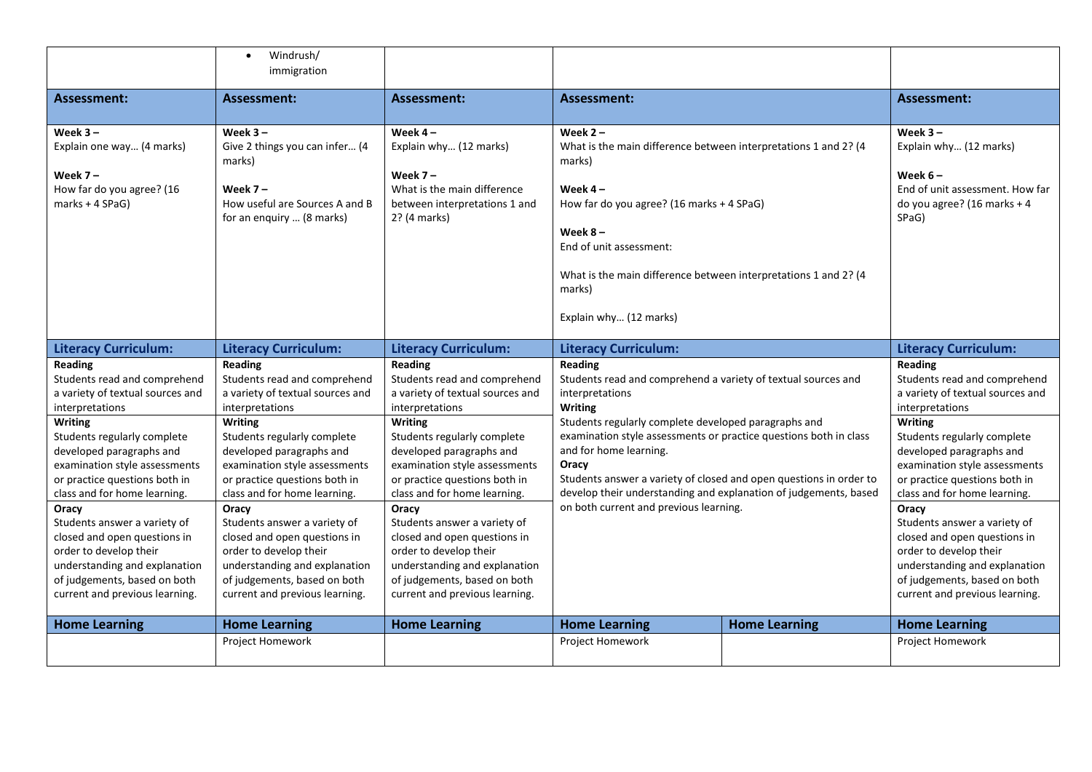|                                                                                                                                                                                                                                                                               | Windrush/<br>$\bullet$<br>immigration                                                                                                                                                                                                                                         |                                                                                                                                                                                                                                                                                      |                                                                                                                                                                                                                                                                                                                                                                                                                                                                          |                      |                                                                                                                                                                                                                                                                               |
|-------------------------------------------------------------------------------------------------------------------------------------------------------------------------------------------------------------------------------------------------------------------------------|-------------------------------------------------------------------------------------------------------------------------------------------------------------------------------------------------------------------------------------------------------------------------------|--------------------------------------------------------------------------------------------------------------------------------------------------------------------------------------------------------------------------------------------------------------------------------------|--------------------------------------------------------------------------------------------------------------------------------------------------------------------------------------------------------------------------------------------------------------------------------------------------------------------------------------------------------------------------------------------------------------------------------------------------------------------------|----------------------|-------------------------------------------------------------------------------------------------------------------------------------------------------------------------------------------------------------------------------------------------------------------------------|
| Assessment:                                                                                                                                                                                                                                                                   | Assessment:                                                                                                                                                                                                                                                                   | <b>Assessment:</b>                                                                                                                                                                                                                                                                   | <b>Assessment:</b>                                                                                                                                                                                                                                                                                                                                                                                                                                                       |                      | <b>Assessment:</b>                                                                                                                                                                                                                                                            |
|                                                                                                                                                                                                                                                                               |                                                                                                                                                                                                                                                                               |                                                                                                                                                                                                                                                                                      |                                                                                                                                                                                                                                                                                                                                                                                                                                                                          |                      |                                                                                                                                                                                                                                                                               |
| Week $3 -$<br>Explain one way (4 marks)<br>Week $7-$<br>How far do you agree? (16<br>marks + 4 SPaG)                                                                                                                                                                          | Week $3 -$<br>Give 2 things you can infer (4<br>marks)<br>Week $7 -$<br>How useful are Sources A and B<br>for an enquiry  (8 marks)                                                                                                                                           | Week $4-$<br>Explain why (12 marks)<br>Week $7 -$<br>What is the main difference<br>between interpretations 1 and<br>2? (4 marks)                                                                                                                                                    | Week $2 -$<br>What is the main difference between interpretations 1 and 2? (4<br>marks)<br>Week $4-$<br>How far do you agree? (16 marks + 4 SPaG)<br>Week $8-$<br>End of unit assessment:<br>What is the main difference between interpretations 1 and 2? (4<br>marks)<br>Explain why (12 marks)                                                                                                                                                                         |                      | Week $3 -$<br>Explain why (12 marks)<br>Week $6-$<br>End of unit assessment. How far<br>do you agree? (16 marks + 4<br>SPaG)                                                                                                                                                  |
| <b>Literacy Curriculum:</b>                                                                                                                                                                                                                                                   | <b>Literacy Curriculum:</b>                                                                                                                                                                                                                                                   | <b>Literacy Curriculum:</b>                                                                                                                                                                                                                                                          | <b>Literacy Curriculum:</b>                                                                                                                                                                                                                                                                                                                                                                                                                                              |                      | <b>Literacy Curriculum:</b>                                                                                                                                                                                                                                                   |
| Reading<br>Students read and comprehend<br>a variety of textual sources and<br>interpretations<br><b>Writing</b><br>Students regularly complete<br>developed paragraphs and<br>examination style assessments<br>or practice questions both in<br>class and for home learning. | Reading<br>Students read and comprehend<br>a variety of textual sources and<br>interpretations<br><b>Writing</b><br>Students regularly complete<br>developed paragraphs and<br>examination style assessments<br>or practice questions both in<br>class and for home learning. | <b>Reading</b><br>Students read and comprehend<br>a variety of textual sources and<br>interpretations<br><b>Writing</b><br>Students regularly complete<br>developed paragraphs and<br>examination style assessments<br>or practice questions both in<br>class and for home learning. | <b>Reading</b><br>Students read and comprehend a variety of textual sources and<br>interpretations<br><b>Writing</b><br>Students regularly complete developed paragraphs and<br>examination style assessments or practice questions both in class<br>and for home learning.<br>Oracy<br>Students answer a variety of closed and open questions in order to<br>develop their understanding and explanation of judgements, based<br>on both current and previous learning. |                      | Reading<br>Students read and comprehend<br>a variety of textual sources and<br>interpretations<br><b>Writing</b><br>Students regularly complete<br>developed paragraphs and<br>examination style assessments<br>or practice questions both in<br>class and for home learning. |
| Oracy<br>Students answer a variety of<br>closed and open questions in<br>order to develop their<br>understanding and explanation<br>of judgements, based on both<br>current and previous learning.                                                                            | Oracy<br>Students answer a variety of<br>closed and open questions in<br>order to develop their<br>understanding and explanation<br>of judgements, based on both<br>current and previous learning.                                                                            | Oracy<br>Students answer a variety of<br>closed and open questions in<br>order to develop their<br>understanding and explanation<br>of judgements, based on both<br>current and previous learning.                                                                                   |                                                                                                                                                                                                                                                                                                                                                                                                                                                                          |                      | Oracy<br>Students answer a variety of<br>closed and open questions in<br>order to develop their<br>understanding and explanation<br>of judgements, based on both<br>current and previous learning.                                                                            |
| <b>Home Learning</b>                                                                                                                                                                                                                                                          | <b>Home Learning</b>                                                                                                                                                                                                                                                          | <b>Home Learning</b>                                                                                                                                                                                                                                                                 | <b>Home Learning</b>                                                                                                                                                                                                                                                                                                                                                                                                                                                     | <b>Home Learning</b> | <b>Home Learning</b>                                                                                                                                                                                                                                                          |
|                                                                                                                                                                                                                                                                               | Project Homework                                                                                                                                                                                                                                                              |                                                                                                                                                                                                                                                                                      | Project Homework                                                                                                                                                                                                                                                                                                                                                                                                                                                         |                      | Project Homework                                                                                                                                                                                                                                                              |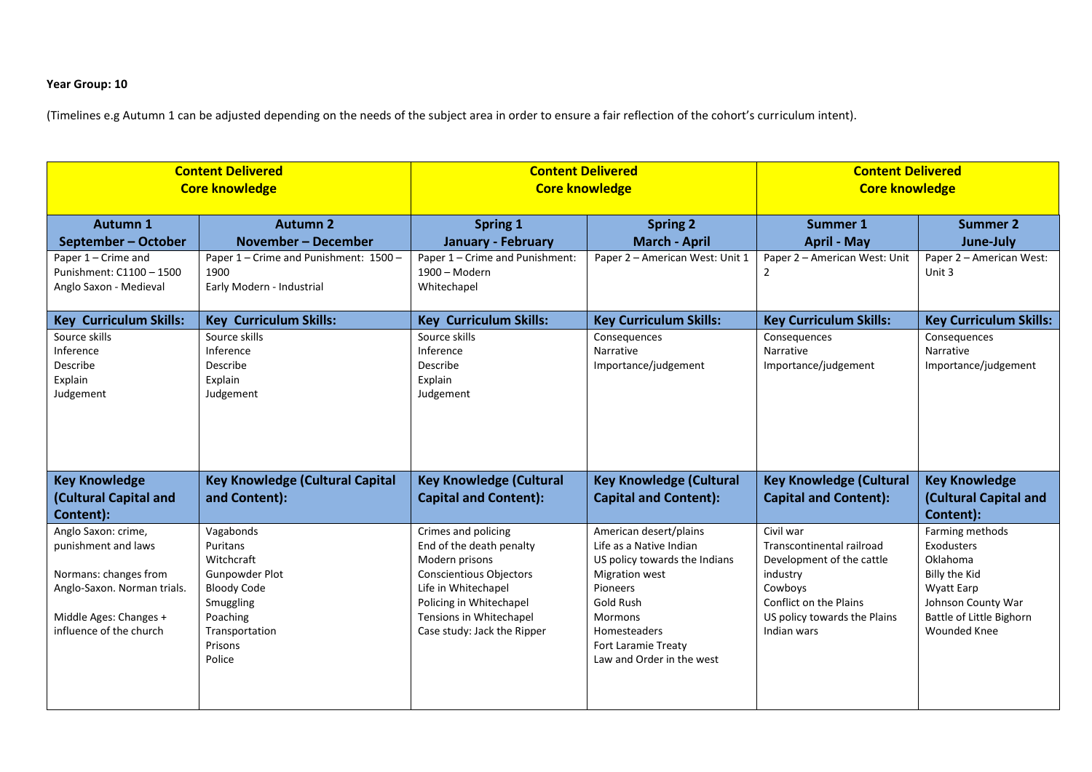## **Year Group: 10**

| <b>Content Delivered</b><br><b>Core knowledge</b>                                                                                                       |                                                                                                                                             | <b>Content Delivered</b><br><b>Core knowledge</b>                                                                                                                                                               |                                                                                                                                                                                                                                   | <b>Content Delivered</b><br><b>Core knowledge</b>                                                                                                                   |                                                                                                                                                   |
|---------------------------------------------------------------------------------------------------------------------------------------------------------|---------------------------------------------------------------------------------------------------------------------------------------------|-----------------------------------------------------------------------------------------------------------------------------------------------------------------------------------------------------------------|-----------------------------------------------------------------------------------------------------------------------------------------------------------------------------------------------------------------------------------|---------------------------------------------------------------------------------------------------------------------------------------------------------------------|---------------------------------------------------------------------------------------------------------------------------------------------------|
| Autumn 1<br>September - October                                                                                                                         | <b>Autumn 2</b><br><b>November - December</b>                                                                                               | <b>Spring 1</b><br>January - February<br>Paper 1 - Crime and Punishment:                                                                                                                                        | <b>Spring 2</b><br><b>March - April</b>                                                                                                                                                                                           | Summer 1<br><b>April - May</b>                                                                                                                                      | <b>Summer 2</b><br>June-July                                                                                                                      |
| Paper 1 - Crime and<br>Punishment: C1100 - 1500<br>Anglo Saxon - Medieval                                                                               | Paper 1 - Crime and Punishment: 1500 -<br>1900<br>Early Modern - Industrial                                                                 | 1900 - Modern<br>Whitechapel                                                                                                                                                                                    | Paper 2 - American West: Unit 1                                                                                                                                                                                                   | Paper 2 - American West: Unit<br>$\overline{2}$                                                                                                                     | Paper 2 - American West:<br>Unit 3                                                                                                                |
| <b>Key Curriculum Skills:</b>                                                                                                                           | <b>Key Curriculum Skills:</b>                                                                                                               | <b>Key Curriculum Skills:</b>                                                                                                                                                                                   | <b>Key Curriculum Skills:</b>                                                                                                                                                                                                     | <b>Key Curriculum Skills:</b>                                                                                                                                       | <b>Key Curriculum Skills:</b>                                                                                                                     |
| Source skills<br>Inference<br>Describe<br>Explain<br>Judgement                                                                                          | Source skills<br>Inference<br>Describe<br>Explain<br>Judgement                                                                              | Source skills<br>Inference<br>Describe<br>Explain<br>Judgement                                                                                                                                                  | Consequences<br>Narrative<br>Importance/judgement                                                                                                                                                                                 | Consequences<br>Narrative<br>Importance/judgement                                                                                                                   | Consequences<br>Narrative<br>Importance/judgement                                                                                                 |
| <b>Key Knowledge</b><br>(Cultural Capital and<br>Content):                                                                                              | <b>Key Knowledge (Cultural Capital</b><br>and Content):                                                                                     | <b>Key Knowledge (Cultural</b><br><b>Capital and Content):</b>                                                                                                                                                  | <b>Key Knowledge (Cultural</b><br><b>Capital and Content):</b>                                                                                                                                                                    | <b>Key Knowledge (Cultural</b><br><b>Capital and Content):</b>                                                                                                      | <b>Key Knowledge</b><br>(Cultural Capital and<br>Content):                                                                                        |
| Anglo Saxon: crime,<br>punishment and laws<br>Normans: changes from<br>Anglo-Saxon. Norman trials.<br>Middle Ages: Changes +<br>influence of the church | Vagabonds<br>Puritans<br>Witchcraft<br>Gunpowder Plot<br><b>Bloody Code</b><br>Smuggling<br>Poaching<br>Transportation<br>Prisons<br>Police | Crimes and policing<br>End of the death penalty<br>Modern prisons<br><b>Conscientious Objectors</b><br>Life in Whitechapel<br>Policing in Whitechapel<br>Tensions in Whitechapel<br>Case study: Jack the Ripper | American desert/plains<br>Life as a Native Indian<br>US policy towards the Indians<br><b>Migration west</b><br>Pioneers<br>Gold Rush<br><b>Mormons</b><br>Homesteaders<br><b>Fort Laramie Treaty</b><br>Law and Order in the west | Civil war<br>Transcontinental railroad<br>Development of the cattle<br>industry<br>Cowboys<br>Conflict on the Plains<br>US policy towards the Plains<br>Indian wars | Farming methods<br>Exodusters<br>Oklahoma<br>Billy the Kid<br>Wyatt Earp<br>Johnson County War<br>Battle of Little Bighorn<br><b>Wounded Knee</b> |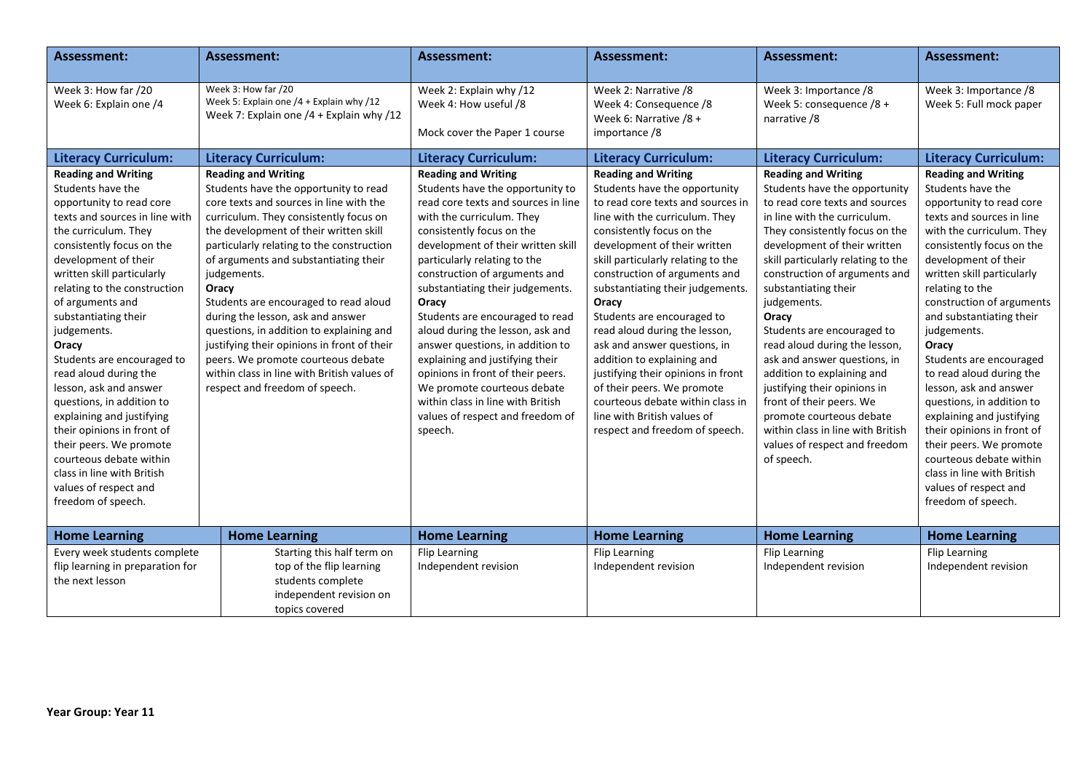| <b>Assessment:</b>                                                                                                                                                                                                                                                                                                                                                                                                                                                                                                                                                                                                                       | <b>Assessment:</b>                                                                                                                                                                                                                                                                                                                                                                                                                                                                                                                                                                                               | <b>Assessment:</b>                                                                                                                                                                                                                                                                                                                                                                                                                                                                                                                                                                                                        | <b>Assessment:</b>                                                                                                                                                                                                                                                                                                                                                                                                                                                                                                                                                                                                        | <b>Assessment:</b>                                                                                                                                                                                                                                                                                                                                                                                                                                                                                                                                                                                                              | <b>Assessment:</b>                                                                                                                                                                                                                                                                                                                                                                                                                                                                                                                                                                                                                       |
|------------------------------------------------------------------------------------------------------------------------------------------------------------------------------------------------------------------------------------------------------------------------------------------------------------------------------------------------------------------------------------------------------------------------------------------------------------------------------------------------------------------------------------------------------------------------------------------------------------------------------------------|------------------------------------------------------------------------------------------------------------------------------------------------------------------------------------------------------------------------------------------------------------------------------------------------------------------------------------------------------------------------------------------------------------------------------------------------------------------------------------------------------------------------------------------------------------------------------------------------------------------|---------------------------------------------------------------------------------------------------------------------------------------------------------------------------------------------------------------------------------------------------------------------------------------------------------------------------------------------------------------------------------------------------------------------------------------------------------------------------------------------------------------------------------------------------------------------------------------------------------------------------|---------------------------------------------------------------------------------------------------------------------------------------------------------------------------------------------------------------------------------------------------------------------------------------------------------------------------------------------------------------------------------------------------------------------------------------------------------------------------------------------------------------------------------------------------------------------------------------------------------------------------|---------------------------------------------------------------------------------------------------------------------------------------------------------------------------------------------------------------------------------------------------------------------------------------------------------------------------------------------------------------------------------------------------------------------------------------------------------------------------------------------------------------------------------------------------------------------------------------------------------------------------------|------------------------------------------------------------------------------------------------------------------------------------------------------------------------------------------------------------------------------------------------------------------------------------------------------------------------------------------------------------------------------------------------------------------------------------------------------------------------------------------------------------------------------------------------------------------------------------------------------------------------------------------|
| Week 3: How far /20<br>Week 6: Explain one /4                                                                                                                                                                                                                                                                                                                                                                                                                                                                                                                                                                                            | Week 3: How far /20<br>Week 5: Explain one /4 + Explain why /12<br>Week 7: Explain one /4 + Explain why /12                                                                                                                                                                                                                                                                                                                                                                                                                                                                                                      | Week 2: Explain why /12<br>Week 4: How useful /8<br>Mock cover the Paper 1 course                                                                                                                                                                                                                                                                                                                                                                                                                                                                                                                                         | Week 2: Narrative /8<br>Week 4: Consequence /8<br>Week 6: Narrative /8 +<br>importance /8                                                                                                                                                                                                                                                                                                                                                                                                                                                                                                                                 | Week 3: Importance /8<br>Week 5: consequence $/8 +$<br>narrative /8                                                                                                                                                                                                                                                                                                                                                                                                                                                                                                                                                             | Week 3: Importance /8<br>Week 5: Full mock paper                                                                                                                                                                                                                                                                                                                                                                                                                                                                                                                                                                                         |
| <b>Literacy Curriculum:</b>                                                                                                                                                                                                                                                                                                                                                                                                                                                                                                                                                                                                              | <b>Literacy Curriculum:</b>                                                                                                                                                                                                                                                                                                                                                                                                                                                                                                                                                                                      | <b>Literacy Curriculum:</b>                                                                                                                                                                                                                                                                                                                                                                                                                                                                                                                                                                                               | <b>Literacy Curriculum:</b>                                                                                                                                                                                                                                                                                                                                                                                                                                                                                                                                                                                               | <b>Literacy Curriculum:</b>                                                                                                                                                                                                                                                                                                                                                                                                                                                                                                                                                                                                     | <b>Literacy Curriculum:</b>                                                                                                                                                                                                                                                                                                                                                                                                                                                                                                                                                                                                              |
| <b>Reading and Writing</b><br>Students have the<br>opportunity to read core<br>texts and sources in line with<br>the curriculum. They<br>consistently focus on the<br>development of their<br>written skill particularly<br>relating to the construction<br>of arguments and<br>substantiating their<br>judgements.<br>Oracy<br>Students are encouraged to<br>read aloud during the<br>lesson, ask and answer<br>questions, in addition to<br>explaining and justifying<br>their opinions in front of<br>their peers. We promote<br>courteous debate within<br>class in line with British<br>values of respect and<br>freedom of speech. | <b>Reading and Writing</b><br>Students have the opportunity to read<br>core texts and sources in line with the<br>curriculum. They consistently focus on<br>the development of their written skill<br>particularly relating to the construction<br>of arguments and substantiating their<br>judgements.<br>Oracy<br>Students are encouraged to read aloud<br>during the lesson, ask and answer<br>questions, in addition to explaining and<br>justifying their opinions in front of their<br>peers. We promote courteous debate<br>within class in line with British values of<br>respect and freedom of speech. | <b>Reading and Writing</b><br>Students have the opportunity to<br>read core texts and sources in line<br>with the curriculum. They<br>consistently focus on the<br>development of their written skill<br>particularly relating to the<br>construction of arguments and<br>substantiating their judgements.<br>Oracy<br>Students are encouraged to read<br>aloud during the lesson, ask and<br>answer questions, in addition to<br>explaining and justifying their<br>opinions in front of their peers.<br>We promote courteous debate<br>within class in line with British<br>values of respect and freedom of<br>speech. | <b>Reading and Writing</b><br>Students have the opportunity<br>to read core texts and sources in<br>line with the curriculum. They<br>consistently focus on the<br>development of their written<br>skill particularly relating to the<br>construction of arguments and<br>substantiating their judgements.<br>Oracy<br>Students are encouraged to<br>read aloud during the lesson,<br>ask and answer questions, in<br>addition to explaining and<br>justifying their opinions in front<br>of their peers. We promote<br>courteous debate within class in<br>line with British values of<br>respect and freedom of speech. | <b>Reading and Writing</b><br>Students have the opportunity<br>to read core texts and sources<br>in line with the curriculum.<br>They consistently focus on the<br>development of their written<br>skill particularly relating to the<br>construction of arguments and<br>substantiating their<br>judgements.<br>Oracy<br>Students are encouraged to<br>read aloud during the lesson,<br>ask and answer questions, in<br>addition to explaining and<br>justifying their opinions in<br>front of their peers. We<br>promote courteous debate<br>within class in line with British<br>values of respect and freedom<br>of speech. | <b>Reading and Writing</b><br>Students have the<br>opportunity to read core<br>texts and sources in line<br>with the curriculum. They<br>consistently focus on the<br>development of their<br>written skill particularly<br>relating to the<br>construction of arguments<br>and substantiating their<br>judgements.<br>Oracy<br>Students are encouraged<br>to read aloud during the<br>lesson, ask and answer<br>questions, in addition to<br>explaining and justifying<br>their opinions in front of<br>their peers. We promote<br>courteous debate within<br>class in line with British<br>values of respect and<br>freedom of speech. |
| <b>Home Learning</b>                                                                                                                                                                                                                                                                                                                                                                                                                                                                                                                                                                                                                     | <b>Home Learning</b>                                                                                                                                                                                                                                                                                                                                                                                                                                                                                                                                                                                             | <b>Home Learning</b>                                                                                                                                                                                                                                                                                                                                                                                                                                                                                                                                                                                                      | <b>Home Learning</b>                                                                                                                                                                                                                                                                                                                                                                                                                                                                                                                                                                                                      | <b>Home Learning</b>                                                                                                                                                                                                                                                                                                                                                                                                                                                                                                                                                                                                            | <b>Home Learning</b>                                                                                                                                                                                                                                                                                                                                                                                                                                                                                                                                                                                                                     |
| Every week students complete<br>flip learning in preparation for<br>the next lesson                                                                                                                                                                                                                                                                                                                                                                                                                                                                                                                                                      | Starting this half term on<br>top of the flip learning<br>students complete<br>independent revision on<br>topics covered                                                                                                                                                                                                                                                                                                                                                                                                                                                                                         | Flip Learning<br>Independent revision                                                                                                                                                                                                                                                                                                                                                                                                                                                                                                                                                                                     | Flip Learning<br>Independent revision                                                                                                                                                                                                                                                                                                                                                                                                                                                                                                                                                                                     | <b>Flip Learning</b><br>Independent revision                                                                                                                                                                                                                                                                                                                                                                                                                                                                                                                                                                                    | Flip Learning<br>Independent revision                                                                                                                                                                                                                                                                                                                                                                                                                                                                                                                                                                                                    |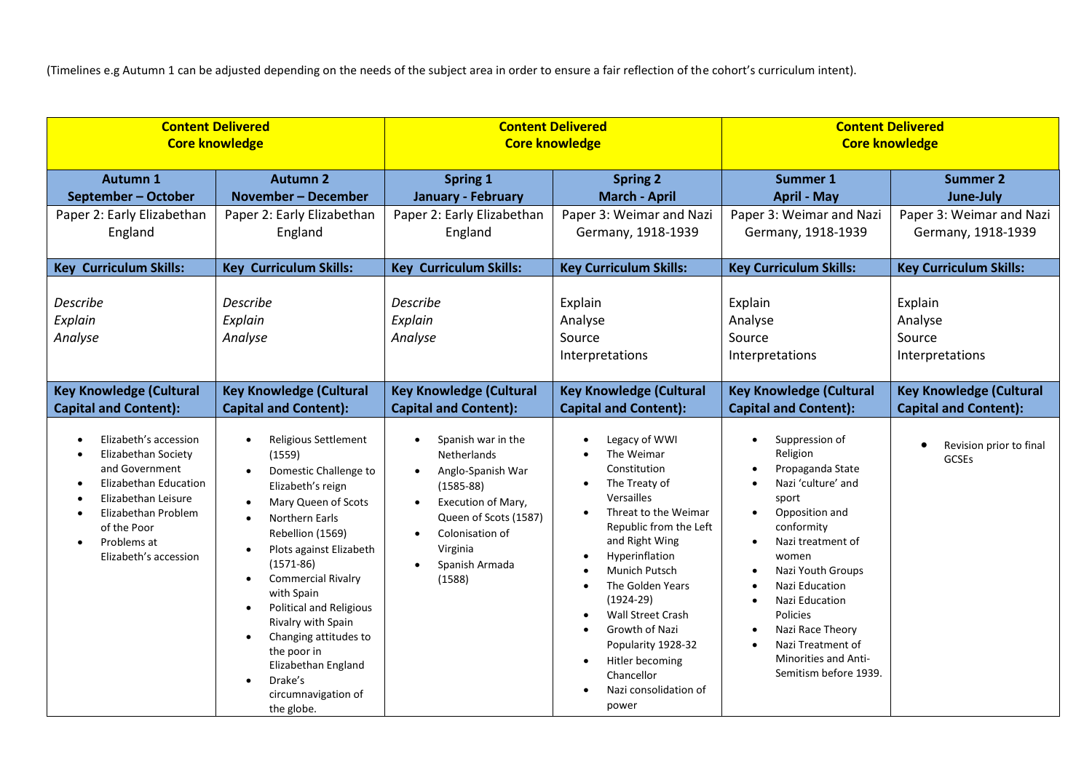| <b>Content Delivered</b>                                                                                                                                                                                         |                                                                                                                                                                                                                                                                                                                                                                                                                                                           | <b>Content Delivered</b>                                                                                                                                                                 |                                                                                                                                                                                                                                                                                                                                                                                | <b>Content Delivered</b>                                                                                                                                                                                                                                                                                                |                                                      |
|------------------------------------------------------------------------------------------------------------------------------------------------------------------------------------------------------------------|-----------------------------------------------------------------------------------------------------------------------------------------------------------------------------------------------------------------------------------------------------------------------------------------------------------------------------------------------------------------------------------------------------------------------------------------------------------|------------------------------------------------------------------------------------------------------------------------------------------------------------------------------------------|--------------------------------------------------------------------------------------------------------------------------------------------------------------------------------------------------------------------------------------------------------------------------------------------------------------------------------------------------------------------------------|-------------------------------------------------------------------------------------------------------------------------------------------------------------------------------------------------------------------------------------------------------------------------------------------------------------------------|------------------------------------------------------|
| <b>Core knowledge</b>                                                                                                                                                                                            |                                                                                                                                                                                                                                                                                                                                                                                                                                                           | <b>Core knowledge</b>                                                                                                                                                                    |                                                                                                                                                                                                                                                                                                                                                                                | <b>Core knowledge</b>                                                                                                                                                                                                                                                                                                   |                                                      |
| Autumn 1                                                                                                                                                                                                         | <b>Autumn 2</b>                                                                                                                                                                                                                                                                                                                                                                                                                                           | <b>Spring 1</b>                                                                                                                                                                          | <b>Spring 2</b>                                                                                                                                                                                                                                                                                                                                                                | <b>Summer 1</b>                                                                                                                                                                                                                                                                                                         | <b>Summer 2</b>                                      |
| September - October                                                                                                                                                                                              | November - December                                                                                                                                                                                                                                                                                                                                                                                                                                       | <b>January - February</b>                                                                                                                                                                | <b>March - April</b>                                                                                                                                                                                                                                                                                                                                                           | <b>April - May</b>                                                                                                                                                                                                                                                                                                      | June-July                                            |
| Paper 2: Early Elizabethan                                                                                                                                                                                       | Paper 2: Early Elizabethan                                                                                                                                                                                                                                                                                                                                                                                                                                | Paper 2: Early Elizabethan                                                                                                                                                               | Paper 3: Weimar and Nazi                                                                                                                                                                                                                                                                                                                                                       | Paper 3: Weimar and Nazi                                                                                                                                                                                                                                                                                                | Paper 3: Weimar and Nazi                             |
| England                                                                                                                                                                                                          | England                                                                                                                                                                                                                                                                                                                                                                                                                                                   | England                                                                                                                                                                                  | Germany, 1918-1939                                                                                                                                                                                                                                                                                                                                                             | Germany, 1918-1939                                                                                                                                                                                                                                                                                                      | Germany, 1918-1939                                   |
| <b>Key Curriculum Skills:</b>                                                                                                                                                                                    | <b>Key Curriculum Skills:</b>                                                                                                                                                                                                                                                                                                                                                                                                                             | <b>Key Curriculum Skills:</b>                                                                                                                                                            | <b>Key Curriculum Skills:</b>                                                                                                                                                                                                                                                                                                                                                  | <b>Key Curriculum Skills:</b>                                                                                                                                                                                                                                                                                           | <b>Key Curriculum Skills:</b>                        |
| Describe<br>Explain<br>Analyse                                                                                                                                                                                   | <b>Describe</b><br>Explain<br>Analyse                                                                                                                                                                                                                                                                                                                                                                                                                     | <b>Describe</b><br>Explain<br>Analyse                                                                                                                                                    | Explain<br>Analyse<br>Source<br>Interpretations                                                                                                                                                                                                                                                                                                                                | Explain<br>Analyse<br>Source<br>Interpretations                                                                                                                                                                                                                                                                         | Explain<br>Analyse<br>Source<br>Interpretations      |
| <b>Key Knowledge (Cultural</b>                                                                                                                                                                                   | <b>Key Knowledge (Cultural</b>                                                                                                                                                                                                                                                                                                                                                                                                                            | <b>Key Knowledge (Cultural</b>                                                                                                                                                           | <b>Key Knowledge (Cultural</b>                                                                                                                                                                                                                                                                                                                                                 | <b>Key Knowledge (Cultural</b>                                                                                                                                                                                                                                                                                          | <b>Key Knowledge (Cultural</b>                       |
| <b>Capital and Content):</b>                                                                                                                                                                                     | <b>Capital and Content):</b>                                                                                                                                                                                                                                                                                                                                                                                                                              | <b>Capital and Content):</b>                                                                                                                                                             | <b>Capital and Content):</b>                                                                                                                                                                                                                                                                                                                                                   | <b>Capital and Content):</b>                                                                                                                                                                                                                                                                                            | <b>Capital and Content):</b>                         |
| Elizabeth's accession<br>Elizabethan Society<br>and Government<br><b>Elizabethan Education</b><br>Elizabethan Leisure<br>Elizabethan Problem<br>of the Poor<br>Problems at<br>$\bullet$<br>Elizabeth's accession | Religious Settlement<br>$\bullet$<br>(1559)<br>Domestic Challenge to<br>Elizabeth's reign<br>Mary Queen of Scots<br>$\bullet$<br>Northern Earls<br>Rebellion (1569)<br>Plots against Elizabeth<br>$(1571-86)$<br><b>Commercial Rivalry</b><br>$\bullet$<br>with Spain<br><b>Political and Religious</b><br>$\bullet$<br>Rivalry with Spain<br>Changing attitudes to<br>the poor in<br>Elizabethan England<br>Drake's<br>circumnavigation of<br>the globe. | Spanish war in the<br><b>Netherlands</b><br>Anglo-Spanish War<br>$(1585 - 88)$<br>Execution of Mary,<br>Queen of Scots (1587)<br>Colonisation of<br>Virginia<br>Spanish Armada<br>(1588) | Legacy of WWI<br>The Weimar<br>Constitution<br>The Treaty of<br>Versailles<br>Threat to the Weimar<br>Republic from the Left<br>and Right Wing<br>Hyperinflation<br>Munich Putsch<br>The Golden Years<br>$\bullet$<br>$(1924-29)$<br>Wall Street Crash<br>Growth of Nazi<br>$\bullet$<br>Popularity 1928-32<br>Hitler becoming<br>Chancellor<br>Nazi consolidation of<br>power | Suppression of<br>Religion<br>Propaganda State<br>Nazi 'culture' and<br>sport<br>Opposition and<br>$\bullet$<br>conformity<br>Nazi treatment of<br>women<br>Nazi Youth Groups<br>Nazi Education<br>Nazi Education<br>Policies<br>Nazi Race Theory<br>Nazi Treatment of<br>Minorities and Anti-<br>Semitism before 1939. | Revision prior to final<br>$\bullet$<br><b>GCSEs</b> |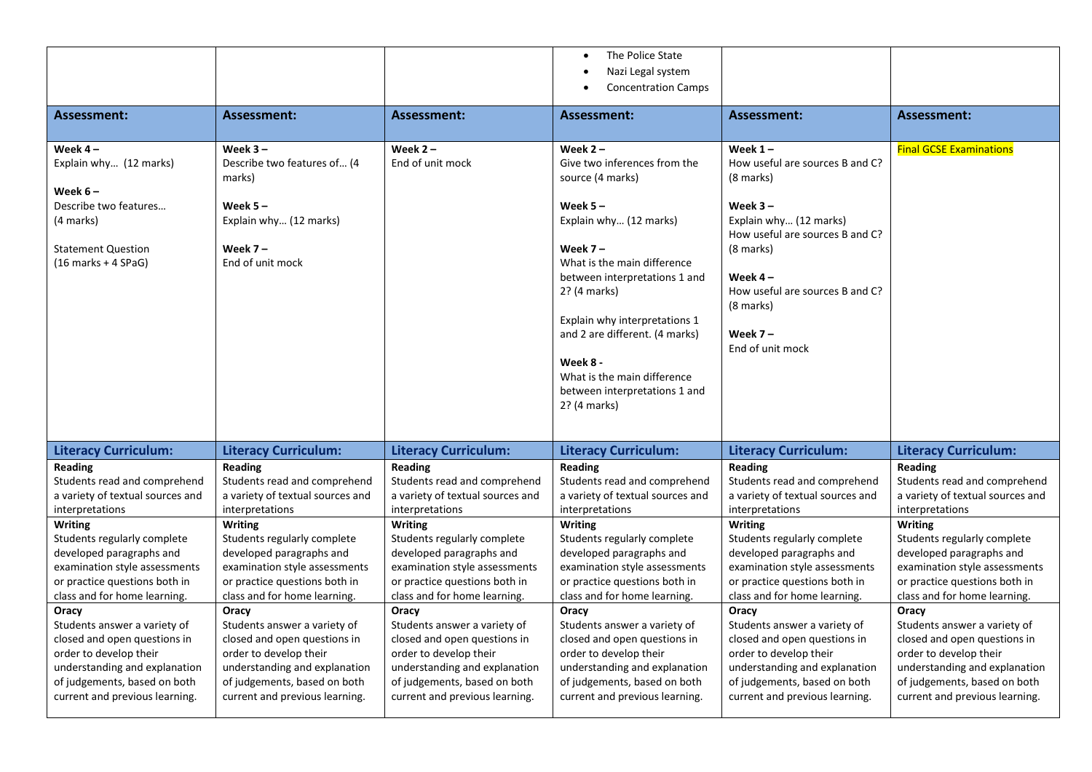|                                                                                                                                                                                                    |                                                                                                                                                                                                    |                                                                                                                                                                                                    | The Police State                                                                                                                                                                                     |                                                                                                                                                                                                                 |                                                                                                                                                                                                    |
|----------------------------------------------------------------------------------------------------------------------------------------------------------------------------------------------------|----------------------------------------------------------------------------------------------------------------------------------------------------------------------------------------------------|----------------------------------------------------------------------------------------------------------------------------------------------------------------------------------------------------|------------------------------------------------------------------------------------------------------------------------------------------------------------------------------------------------------|-----------------------------------------------------------------------------------------------------------------------------------------------------------------------------------------------------------------|----------------------------------------------------------------------------------------------------------------------------------------------------------------------------------------------------|
|                                                                                                                                                                                                    |                                                                                                                                                                                                    |                                                                                                                                                                                                    | Nazi Legal system                                                                                                                                                                                    |                                                                                                                                                                                                                 |                                                                                                                                                                                                    |
|                                                                                                                                                                                                    |                                                                                                                                                                                                    |                                                                                                                                                                                                    | <b>Concentration Camps</b>                                                                                                                                                                           |                                                                                                                                                                                                                 |                                                                                                                                                                                                    |
| <b>Assessment:</b>                                                                                                                                                                                 | Assessment:                                                                                                                                                                                        | Assessment:                                                                                                                                                                                        | Assessment:                                                                                                                                                                                          | Assessment:                                                                                                                                                                                                     | <b>Assessment:</b>                                                                                                                                                                                 |
| Week $4-$<br>Explain why (12 marks)<br>Week $6-$<br>Describe two features<br>(4 marks)<br><b>Statement Question</b><br>$(16$ marks + 4 SPaG)                                                       | Week $3 -$<br>Describe two features of (4<br>marks)<br>Week $5 -$<br>Explain why (12 marks)<br>Week $7-$<br>End of unit mock                                                                       | Week $2 -$<br>End of unit mock                                                                                                                                                                     | Week $2 -$<br>Give two inferences from the<br>source (4 marks)<br>Week $5 -$<br>Explain why (12 marks)<br>Week $7 -$<br>What is the main difference<br>between interpretations 1 and<br>2? (4 marks) | Week $1 -$<br>How useful are sources B and C?<br>(8 marks)<br>Week $3 -$<br>Explain why (12 marks)<br>How useful are sources B and C?<br>(8 marks)<br>Week $4-$<br>How useful are sources B and C?<br>(8 marks) | <b>Final GCSE Examinations</b>                                                                                                                                                                     |
|                                                                                                                                                                                                    |                                                                                                                                                                                                    |                                                                                                                                                                                                    | Explain why interpretations 1<br>and 2 are different. (4 marks)<br>Week 8 -<br>What is the main difference<br>between interpretations 1 and<br>2? (4 marks)                                          | Week $7 -$<br>End of unit mock                                                                                                                                                                                  |                                                                                                                                                                                                    |
| <b>Literacy Curriculum:</b>                                                                                                                                                                        | <b>Literacy Curriculum:</b>                                                                                                                                                                        | <b>Literacy Curriculum:</b>                                                                                                                                                                        | <b>Literacy Curriculum:</b>                                                                                                                                                                          | <b>Literacy Curriculum:</b>                                                                                                                                                                                     | <b>Literacy Curriculum:</b>                                                                                                                                                                        |
| Reading<br>Students read and comprehend<br>a variety of textual sources and<br>interpretations                                                                                                     | Reading<br>Students read and comprehend<br>a variety of textual sources and<br>interpretations                                                                                                     | Reading<br>Students read and comprehend<br>a variety of textual sources and<br>interpretations                                                                                                     | <b>Reading</b><br>Students read and comprehend<br>a variety of textual sources and<br>interpretations                                                                                                | Reading<br>Students read and comprehend<br>a variety of textual sources and<br>interpretations                                                                                                                  | Reading<br>Students read and comprehend<br>a variety of textual sources and<br>interpretations                                                                                                     |
| Writing<br>Students regularly complete<br>developed paragraphs and<br>examination style assessments<br>or practice questions both in<br>class and for home learning.                               | Writing<br>Students regularly complete<br>developed paragraphs and<br>examination style assessments<br>or practice questions both in<br>class and for home learning.                               | <b>Writing</b><br>Students regularly complete<br>developed paragraphs and<br>examination style assessments<br>or practice questions both in<br>class and for home learning.                        | <b>Writing</b><br>Students regularly complete<br>developed paragraphs and<br>examination style assessments<br>or practice questions both in<br>class and for home learning.                          | <b>Writing</b><br>Students regularly complete<br>developed paragraphs and<br>examination style assessments<br>or practice questions both in<br>class and for home learning.                                     | <b>Writing</b><br>Students regularly complete<br>developed paragraphs and<br>examination style assessments<br>or practice questions both in<br>class and for home learning.                        |
| Oracy<br>Students answer a variety of<br>closed and open questions in<br>order to develop their<br>understanding and explanation<br>of judgements, based on both<br>current and previous learning. | Oracy<br>Students answer a variety of<br>closed and open questions in<br>order to develop their<br>understanding and explanation<br>of judgements, based on both<br>current and previous learning. | Oracy<br>Students answer a variety of<br>closed and open questions in<br>order to develop their<br>understanding and explanation<br>of judgements, based on both<br>current and previous learning. | Oracy<br>Students answer a variety of<br>closed and open questions in<br>order to develop their<br>understanding and explanation<br>of judgements, based on both<br>current and previous learning.   | Oracy<br>Students answer a variety of<br>closed and open questions in<br>order to develop their<br>understanding and explanation<br>of judgements, based on both<br>current and previous learning.              | Oracy<br>Students answer a variety of<br>closed and open questions in<br>order to develop their<br>understanding and explanation<br>of judgements, based on both<br>current and previous learning. |